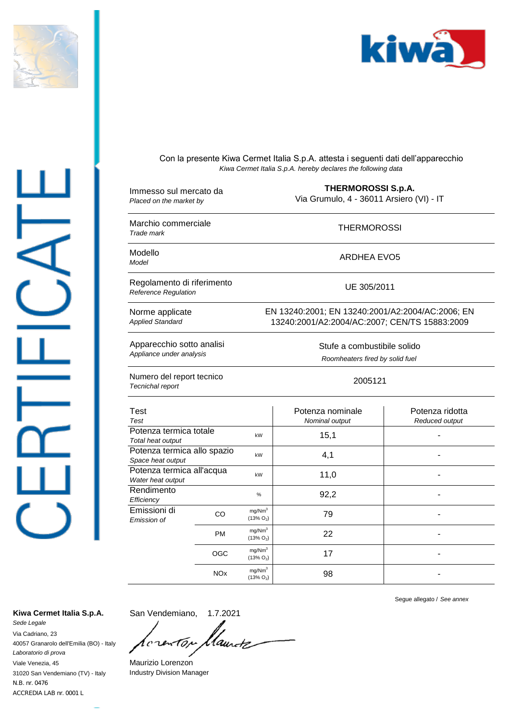



Con la presente Kiwa Cermet Italia S.p.A. attesta i seguenti dati dell'apparecchio *Kiwa Cermet Italia S.p.A. hereby declares the following data*

| Immesso sul mercato da<br>Placed on the market by         |                       | <b>THERMOROSSI S.p.A.</b><br>Via Grumulo, 4 - 36011 Arsiero (VI) - IT                             |                                    |                                   |
|-----------------------------------------------------------|-----------------------|---------------------------------------------------------------------------------------------------|------------------------------------|-----------------------------------|
| Marchio commerciale<br>Trade mark                         |                       | <b>THERMOROSSI</b>                                                                                |                                    |                                   |
| Modello<br>Model                                          |                       | <b>ARDHEA EVO5</b>                                                                                |                                    |                                   |
| Regolamento di riferimento<br><b>Reference Regulation</b> |                       | UE 305/2011                                                                                       |                                    |                                   |
| Norme applicate<br><b>Applied Standard</b>                |                       | EN 13240:2001; EN 13240:2001/A2:2004/AC:2006; EN<br>13240:2001/A2:2004/AC:2007; CEN/TS 15883:2009 |                                    |                                   |
| Apparecchio sotto analisi<br>Appliance under analysis     |                       | Stufe a combustibile solido<br>Roomheaters fired by solid fuel                                    |                                    |                                   |
| Numero del report tecnico<br>Tecnichal report             |                       | 2005121                                                                                           |                                    |                                   |
| <b>Test</b><br>Test                                       |                       |                                                                                                   | Potenza nominale<br>Nominal output | Potenza ridotta<br>Reduced output |
| Potenza termica totale<br>Total heat output               |                       | kW                                                                                                | 15,1                               |                                   |
| Potenza termica allo spazio<br>Space heat output          |                       | kW                                                                                                | 4,1                                |                                   |
| Potenza termica all'acqua<br>Water heat output            |                       | kW                                                                                                | 11,0                               |                                   |
| Rendimento<br>Efficiency                                  |                       | %                                                                                                 | 92,2                               |                                   |
| Emissioni di<br>Emission of                               | CO.                   | mg/Nm <sup>3</sup><br>$(13\% O_2)$                                                                | 79                                 | ٠                                 |
|                                                           | PM                    | mg/Nm <sup>3</sup><br>$(13\% O_2)$                                                                | 22                                 |                                   |
|                                                           | <b>OGC</b>            | mq/Nm <sup>3</sup><br>$(13\% O_2)$                                                                | 17                                 |                                   |
|                                                           | <b>NO<sub>x</sub></b> | mg/Nm <sup>3</sup><br>$(13\% O_2)$                                                                | 98                                 |                                   |

Kiwa Cermet Italia S.p.A. San Vendemiano, 1.7.2021

ACCREDIA LAB nr. 0001 L N.B. nr. 0476 31020 San Vendemiano (TV) - Italy *Sede Legale* Via Cadriano, 23 40057 Granarolo dell'Emilia (BO) - Italy *Laboratorio di prova* Viale Venezia, 45

San Vendemiano, llaurtz 1  $\epsilon$ 10, ι

Maurizio Lorenzon Industry Division Manager

Segue allegato / *See annex*